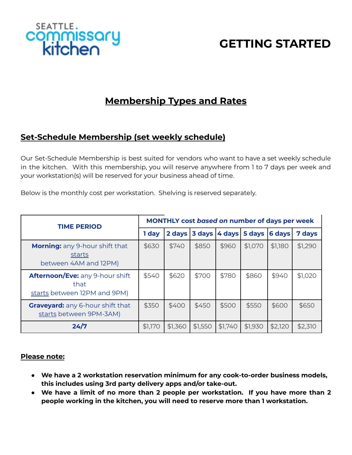

# **GETTING STARTED**

# **Membership Types and Rates**

#### **Set-Schedule Membership (set weekly schedule)**

Our Set-Schedule Membership is best suited for vendors who want to have a set weekly schedule in the kitchen. With this membership, you will reserve anywhere from 1 to 7 days per week and your workstation(s) will be reserved for your business ahead of time.

Below is the monthly cost per workstation. Shelving is reserved separately.

| <b>TIME PERIOD</b>                                                       | MONTHLY cost based on number of days per week |         |         |         |                      |         |         |
|--------------------------------------------------------------------------|-----------------------------------------------|---------|---------|---------|----------------------|---------|---------|
|                                                                          | 1 day                                         | 2 days  | 3 days  |         | 4 days 5 days 6 days |         | 7 days  |
| <b>Morning:</b> any 9-hour shift that<br>starts<br>between 4AM and 12PM) | \$630                                         | \$740   | \$850   | \$960   | \$1,070              | \$1,180 | \$1,290 |
| Afternoon/Eve: any 9-hour shift<br>that<br>starts between 12PM and 9PM)  | \$540                                         | \$620   | \$700   | \$780   | \$860                | \$940   | \$1,020 |
| <b>Graveyard:</b> any 6-hour shift that<br>starts between 9PM-3AM)       | \$350                                         | \$400   | \$450   | \$500   | \$550                | \$600   | \$650   |
| 24/7                                                                     | \$1,170                                       | \$1,360 | \$1,550 | \$1,740 | \$1,930              | \$2,120 | \$2,310 |

#### **Please note:**

- **● We have a 2 workstation reservation minimum for any cook-to-order business models, this includes using 3rd party delivery apps and/or take-out.**
- **● We have a limit of no more than 2 people per workstation. If you have more than 2 people working in the kitchen, you will need to reserve more than 1 workstation.**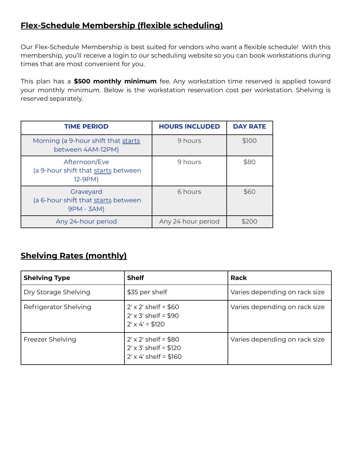#### **Flex-Schedule Membership (flexible scheduling)**

Our Flex-Schedule Membership is best suited for vendors who want a flexible schedule! With this membership, you'll receive a login to our scheduling website so you can book workstations during times that are most convenient for you.

This plan has a **\$500 monthly minimum** fee. Any workstation time reserved is applied toward your monthly minimum. Below is the workstation reservation cost per workstation. Shelving is reserved separately.

| <b>TIME PERIOD</b>                                              | <b>HOURS INCLUDED</b> | <b>DAY RATE</b> |  |
|-----------------------------------------------------------------|-----------------------|-----------------|--|
| Morning (a 9-hour shift that starts<br>between 4AM-12PM)        | 9 hours               | \$100           |  |
| Afternoon/Eve<br>(a 9-hour shift that starts between<br>12-9PM) | 9 hours               | \$80            |  |
| Graveyard<br>(a 6-hour shift that starts between<br>9PM - 3AM)  | 6 hours               | \$60            |  |
| Any 24-hour period                                              | Any 24 hour period    | \$200           |  |

### **Shelving Rates (monthly)**

| <b>Shelving Type</b>  | <b>Shelf</b>                                                                                | Rack                          |  |  |
|-----------------------|---------------------------------------------------------------------------------------------|-------------------------------|--|--|
| Dry Storage Shelving  | \$35 per shelf                                                                              | Varies depending on rack size |  |  |
| Refrigerator Shelving | $2' \times 2'$ shelf = \$60<br>$2' \times 3'$ shelf = \$90<br>$2' \times 4' = $120$         | Varies depending on rack size |  |  |
| Freezer Shelving      | $2' \times 2'$ shelf = \$80<br>$2' \times 3'$ shelf = \$120<br>$2' \times 4'$ shelf = \$160 | Varies depending on rack size |  |  |